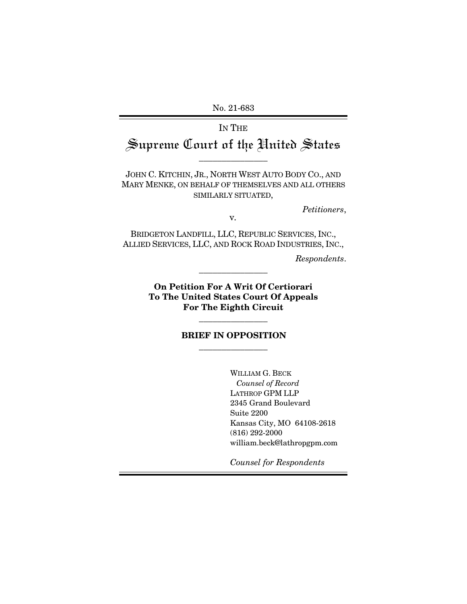No. 21-683

# IN THE Supreme Court of the United States

\_\_\_\_\_\_\_\_\_\_\_\_\_\_\_

JOHN C. KITCHIN, JR., NORTH WEST AUTO BODY CO., AND MARY MENKE, ON BEHALF OF THEMSELVES AND ALL OTHERS SIMILARLY SITUATED,

*Petitioners*, <sup>v</sup>*.* 

BRIDGETON LANDFILL, LLC, REPUBLIC SERVICES, INC., ALLIED SERVICES, LLC, AND ROCK ROAD INDUSTRIES, INC.,

*Respondents*.

**On Petition For A Writ Of Certiorari To The United States Court Of Appeals For The Eighth Circuit**

\_\_\_\_\_\_\_\_\_\_\_\_\_\_\_

## **BRIEF IN OPPOSITION**  \_\_\_\_\_\_\_\_\_\_\_\_\_\_\_

\_\_\_\_\_\_\_\_\_\_\_\_\_\_\_

WILLIAM G. BECK  *Counsel of Record*  LATHROP GPM LLP 2345 Grand Boulevard Suite 2200 Kansas City, MO 64108-2618 (816) 292-2000 william.beck@lathropgpm.com

*Counsel for Respondents*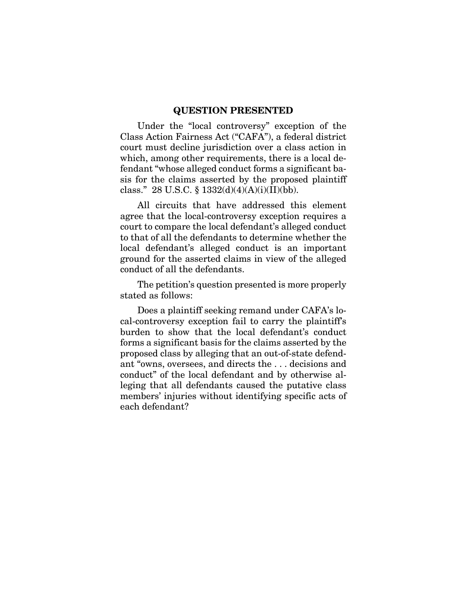#### **QUESTION PRESENTED**

Under the "local controversy" exception of the Class Action Fairness Act ("CAFA"), a federal district court must decline jurisdiction over a class action in which, among other requirements, there is a local defendant "whose alleged conduct forms a significant basis for the claims asserted by the proposed plaintiff class." 28 U.S.C. §  $1332(d)(4)(A)(i)(II)(bb)$ .

All circuits that have addressed this element agree that the local-controversy exception requires a court to compare the local defendant's alleged conduct to that of all the defendants to determine whether the local defendant's alleged conduct is an important ground for the asserted claims in view of the alleged conduct of all the defendants.

The petition's question presented is more properly stated as follows:

Does a plaintiff seeking remand under CAFA's local-controversy exception fail to carry the plaintiff's burden to show that the local defendant's conduct forms a significant basis for the claims asserted by the proposed class by alleging that an out-of-state defendant "owns, oversees, and directs the . . . decisions and conduct" of the local defendant and by otherwise alleging that all defendants caused the putative class members' injuries without identifying specific acts of each defendant?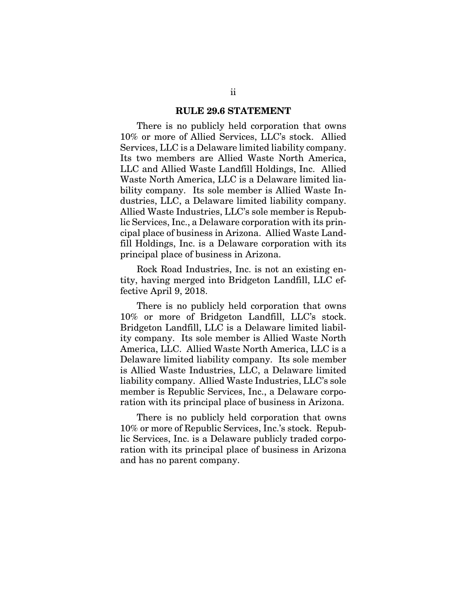#### **RULE 29.6 STATEMENT**

There is no publicly held corporation that owns 10% or more of Allied Services, LLC's stock. Allied Services, LLC is a Delaware limited liability company. Its two members are Allied Waste North America, LLC and Allied Waste Landfill Holdings, Inc. Allied Waste North America, LLC is a Delaware limited liability company. Its sole member is Allied Waste Industries, LLC, a Delaware limited liability company. Allied Waste Industries, LLC's sole member is Republic Services, Inc., a Delaware corporation with its principal place of business in Arizona. Allied Waste Landfill Holdings, Inc. is a Delaware corporation with its principal place of business in Arizona.

Rock Road Industries, Inc. is not an existing entity, having merged into Bridgeton Landfill, LLC effective April 9, 2018.

There is no publicly held corporation that owns 10% or more of Bridgeton Landfill, LLC's stock. Bridgeton Landfill, LLC is a Delaware limited liability company. Its sole member is Allied Waste North America, LLC. Allied Waste North America, LLC is a Delaware limited liability company. Its sole member is Allied Waste Industries, LLC, a Delaware limited liability company. Allied Waste Industries, LLC's sole member is Republic Services, Inc., a Delaware corporation with its principal place of business in Arizona.

There is no publicly held corporation that owns 10% or more of Republic Services, Inc.'s stock. Republic Services, Inc. is a Delaware publicly traded corporation with its principal place of business in Arizona and has no parent company.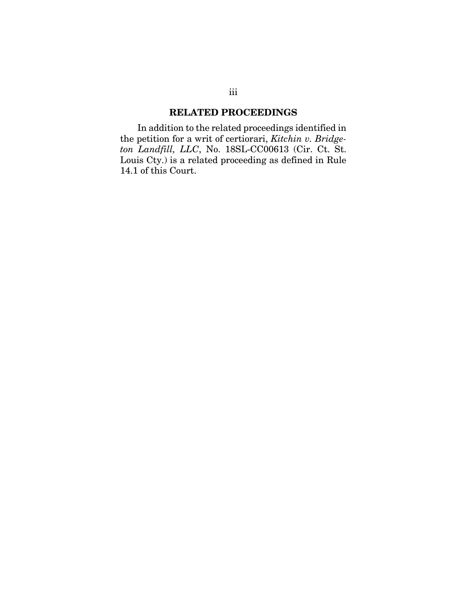## **RELATED PROCEEDINGS**

In addition to the related proceedings identified in the petition for a writ of certiorari, *Kitchin v. Bridge*ton Landfill, LLC, No. 18SL-CC00613 (Cir. Ct. St. Louis Cty.) is a related proceeding as defined in Rule 14.1 of this Court.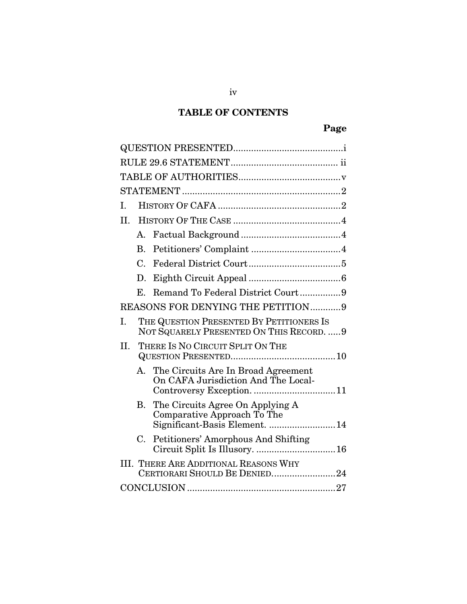# **TABLE OF CONTENTS**

| H.                                                                                                     |  |  |  |  |  |  |
|--------------------------------------------------------------------------------------------------------|--|--|--|--|--|--|
| A.                                                                                                     |  |  |  |  |  |  |
| В.                                                                                                     |  |  |  |  |  |  |
| C.                                                                                                     |  |  |  |  |  |  |
| D.                                                                                                     |  |  |  |  |  |  |
| Remand To Federal District Court9<br>Е.                                                                |  |  |  |  |  |  |
| REASONS FOR DENYING THE PETITION9                                                                      |  |  |  |  |  |  |
| I.<br>THE QUESTION PRESENTED BY PETITIONERS IS<br>NOT SQUARELY PRESENTED ON THIS RECORD.  9            |  |  |  |  |  |  |
| THERE IS NO CIRCUIT SPLIT ON THE<br>II.                                                                |  |  |  |  |  |  |
| A. The Circuits Are In Broad Agreement<br>On CAFA Jurisdiction And The Local-                          |  |  |  |  |  |  |
| The Circuits Agree On Applying A<br>В.<br>Comparative Approach To The<br>Significant-Basis Element. 14 |  |  |  |  |  |  |
| Petitioners' Amorphous And Shifting<br>$C_{\cdot}$<br>Circuit Split Is Illusory.  16                   |  |  |  |  |  |  |
| <b>III. THERE ARE ADDITIONAL REASONS WHY</b><br>CERTIORARI SHOULD BE DENIED24                          |  |  |  |  |  |  |
|                                                                                                        |  |  |  |  |  |  |

iv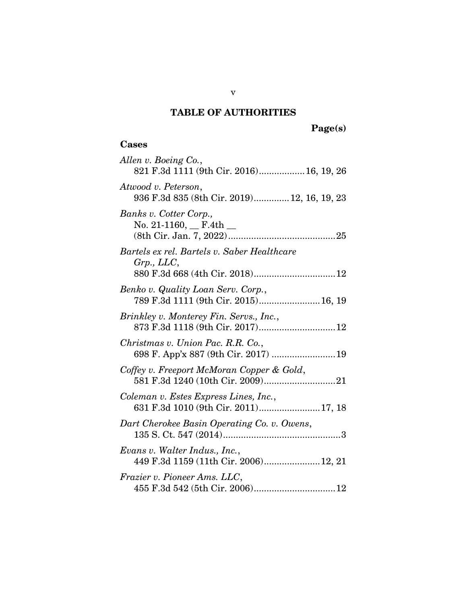## **TABLE OF AUTHORITIES**

## **Cases**

| Allen v. Boeing Co.,<br>821 F.3d 1111 (9th Cir. 2016) 16, 19, 26                             |
|----------------------------------------------------------------------------------------------|
| Atwood v. Peterson,<br>936 F.3d 835 (8th Cir. 2019) 12, 16, 19, 23                           |
| Banks v. Cotter Corp.,<br>No. 21-1160, $\_$ F.4th $\_$                                       |
| Bartels ex rel. Bartels v. Saber Healthcare<br>Grp., LLC,<br>880 F.3d 668 (4th Cir. 2018) 12 |
| Benko v. Quality Loan Serv. Corp.,<br>789 F.3d 1111 (9th Cir. 2015) 16, 19                   |
| Brinkley v. Monterey Fin. Servs., Inc.,                                                      |
| Christmas v. Union Pac. R.R. Co.,                                                            |
| Coffey v. Freeport McMoran Copper & Gold,                                                    |
| Coleman v. Estes Express Lines, Inc.,<br>631 F.3d 1010 (9th Cir. 2011)17, 18                 |
| Dart Cherokee Basin Operating Co. v. Owens,                                                  |
| Evans v. Walter Indus., Inc.,<br>449 F.3d 1159 (11th Cir. 2006)12, 21                        |
| Frazier v. Pioneer Ams. LLC,                                                                 |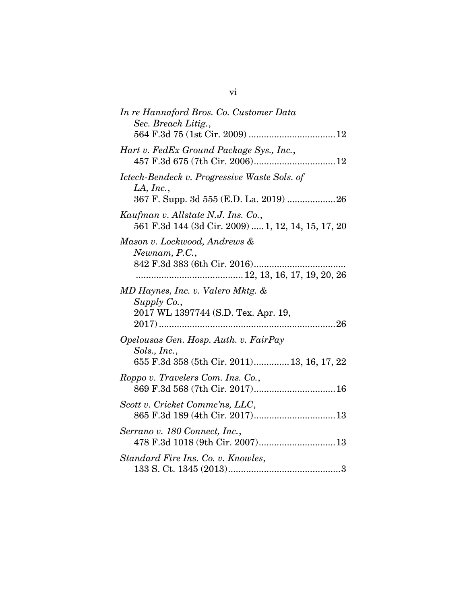| In re Hannaford Bros. Co. Customer Data<br>Sec. Breach Litig.,                                       |
|------------------------------------------------------------------------------------------------------|
| Hart v. FedEx Ground Package Sys., Inc.,                                                             |
| Ictech-Bendeck v. Progressive Waste Sols. of<br>LA, Inc.,                                            |
| Kaufman v. Allstate N.J. Ins. Co.,<br>561 F.3d 144 (3d Cir. 2009)  1, 12, 14, 15, 17, 20             |
| Mason v. Lockwood, Andrews &<br>Newnam, P.C.,                                                        |
| MD Haynes, Inc. v. Valero Mktg. &<br>Supply Co.,<br>2017 WL 1397744 (S.D. Tex. Apr. 19,              |
| Opelousas Gen. Hosp. Auth. v. FairPay<br>Sols., Inc.,<br>655 F.3d 358 (5th Cir. 2011) 13, 16, 17, 22 |
| Roppo v. Travelers Com. Ins. Co.,<br>869 F.3d 568 (7th Cir. 2017) 16                                 |
| Scott v. Cricket Commc'ns, LLC,                                                                      |
| Serrano v. 180 Connect, Inc.,<br>478 F.3d 1018 (9th Cir. 2007)13                                     |
| Standard Fire Ins. Co. v. Knowles,                                                                   |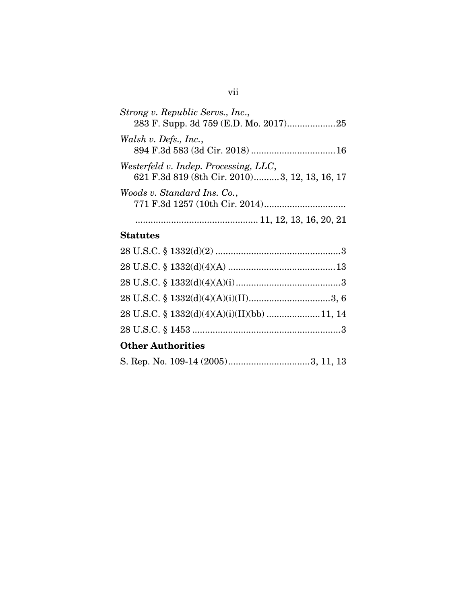| Strong v. Republic Servs., Inc.,<br>283 F. Supp. 3d 759 (E.D. Mo. 2017)25               |
|-----------------------------------------------------------------------------------------|
| Walsh v. Defs., Inc.,                                                                   |
| Westerfeld v. Indep. Processing, LLC,<br>621 F.3d 819 (8th Cir. 2010) 3, 12, 13, 16, 17 |
| Woods v. Standard Ins. Co.,                                                             |
|                                                                                         |

## **Statutes**

| <b>Other Authorities</b>                    |  |
|---------------------------------------------|--|
|                                             |  |
| 28 U.S.C. § 1332(d)(4)(A)(i)(II)(bb) 11, 14 |  |
|                                             |  |
|                                             |  |
|                                             |  |
|                                             |  |

|--|--|--|--|--|--|--|--|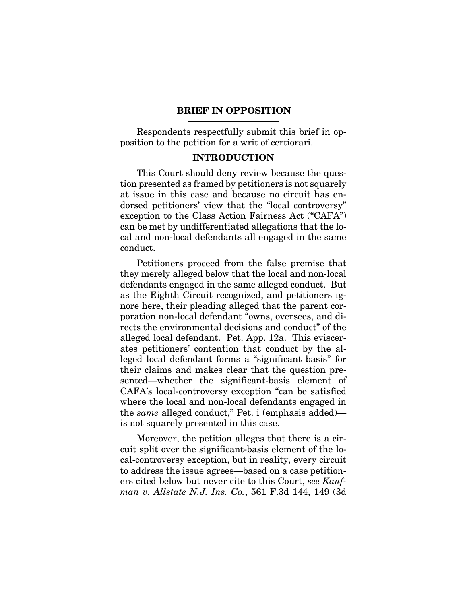#### **BRIEF IN OPPOSITION**

Respondents respectfully submit this brief in opposition to the petition for a writ of certiorari.

#### **INTRODUCTION**

This Court should deny review because the question presented as framed by petitioners is not squarely at issue in this case and because no circuit has endorsed petitioners' view that the "local controversy" exception to the Class Action Fairness Act ("CAFA") can be met by undifferentiated allegations that the local and non-local defendants all engaged in the same conduct.

Petitioners proceed from the false premise that they merely alleged below that the local and non-local defendants engaged in the same alleged conduct. But as the Eighth Circuit recognized, and petitioners ignore here, their pleading alleged that the parent corporation non-local defendant "owns, oversees, and directs the environmental decisions and conduct" of the alleged local defendant. Pet. App. 12a. This eviscerates petitioners' contention that conduct by the alleged local defendant forms a "significant basis" for their claims and makes clear that the question presented—whether the significant-basis element of CAFA's local-controversy exception "can be satisfied where the local and non-local defendants engaged in the *same* alleged conduct," Pet. i (emphasis added) is not squarely presented in this case.

Moreover, the petition alleges that there is a circuit split over the significant-basis element of the local-controversy exception, but in reality, every circuit to address the issue agrees—based on a case petitioners cited below but never cite to this Court, *see Kaufman v. Allstate N.J. Ins. Co.*, 561 F.3d 144, 149 (3d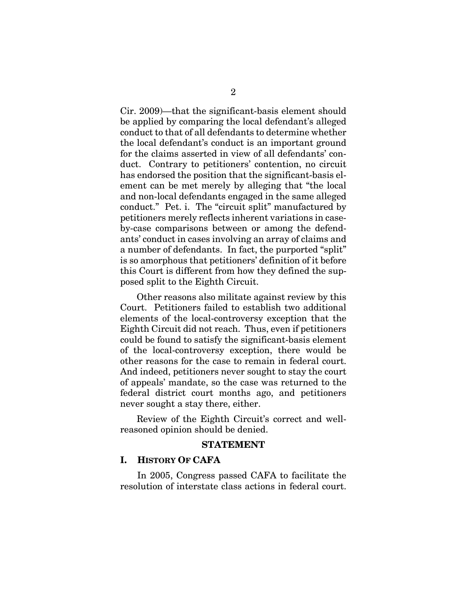Cir. 2009)—that the significant-basis element should be applied by comparing the local defendant's alleged conduct to that of all defendants to determine whether the local defendant's conduct is an important ground for the claims asserted in view of all defendants' conduct. Contrary to petitioners' contention, no circuit has endorsed the position that the significant-basis element can be met merely by alleging that "the local and non-local defendants engaged in the same alleged conduct." Pet. i. The "circuit split" manufactured by petitioners merely reflects inherent variations in caseby-case comparisons between or among the defendants' conduct in cases involving an array of claims and a number of defendants. In fact, the purported "split" is so amorphous that petitioners' definition of it before this Court is different from how they defined the supposed split to the Eighth Circuit.

Other reasons also militate against review by this Court. Petitioners failed to establish two additional elements of the local-controversy exception that the Eighth Circuit did not reach. Thus, even if petitioners could be found to satisfy the significant-basis element of the local-controversy exception, there would be other reasons for the case to remain in federal court. And indeed, petitioners never sought to stay the court of appeals' mandate, so the case was returned to the federal district court months ago, and petitioners never sought a stay there, either.

Review of the Eighth Circuit's correct and wellreasoned opinion should be denied.

#### **STATEMENT**

#### **I. HISTORY OF CAFA**

In 2005, Congress passed CAFA to facilitate the resolution of interstate class actions in federal court.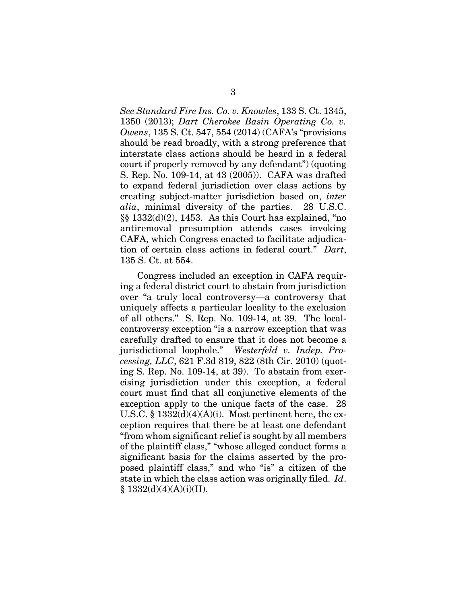*See Standard Fire Ins. Co. v. Knowles*, 133 S. Ct. 1345, 1350 (2013); *Dart Cherokee Basin Operating Co. v. Owens*, 135 S. Ct. 547, 554 (2014) (CAFA's "provisions should be read broadly, with a strong preference that interstate class actions should be heard in a federal court if properly removed by any defendant") (quoting S. Rep. No. 109-14, at 43 (2005)). CAFA was drafted to expand federal jurisdiction over class actions by creating subject-matter jurisdiction based on, *inter alia*, minimal diversity of the parties. 28 U.S.C. §§ 1332(d)(2), 1453. As this Court has explained, "no antiremoval presumption attends cases invoking CAFA, which Congress enacted to facilitate adjudication of certain class actions in federal court." *Dart*, 135 S. Ct. at 554.

Congress included an exception in CAFA requiring a federal district court to abstain from jurisdiction over "a truly local controversy—a controversy that uniquely affects a particular locality to the exclusion of all others." S. Rep. No. 109-14, at 39. The localcontroversy exception "is a narrow exception that was carefully drafted to ensure that it does not become a jurisdictional loophole." *Westerfeld v. Indep. Processing, LLC*, 621 F.3d 819, 822 (8th Cir. 2010) (quoting S. Rep. No. 109-14, at 39). To abstain from exercising jurisdiction under this exception, a federal court must find that all conjunctive elements of the exception apply to the unique facts of the case. 28 U.S.C. §  $1332(d)(4)(A)(i)$ . Most pertinent here, the exception requires that there be at least one defendant "from whom significant relief is sought by all members of the plaintiff class," "whose alleged conduct forms a significant basis for the claims asserted by the proposed plaintiff class," and who "is" a citizen of the state in which the class action was originally filed. *Id*.  $§ 1332(d)(4)(A)(i)(II).$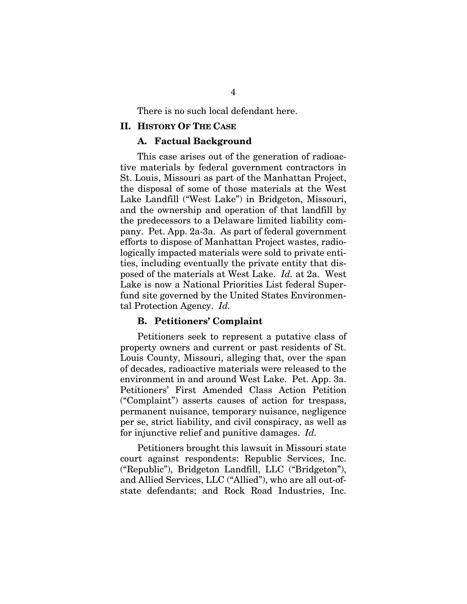There is no such local defendant here.

#### **II. HISTORY OF THE CASE**

#### **A. Factual Background**

This case arises out of the generation of radioactive materials by federal government contractors in St. Louis, Missouri as part of the Manhattan Project, the disposal of some of those materials at the West Lake Landfill ("West Lake") in Bridgeton, Missouri, and the ownership and operation of that landfill by the predecessors to a Delaware limited liability company. Pet. App. 2a-3a. As part of federal government efforts to dispose of Manhattan Project wastes, radiologically impacted materials were sold to private entities, including eventually the private entity that disposed of the materials at West Lake. *Id.* at 2a. West Lake is now a National Priorities List federal Superfund site governed by the United States Environmental Protection Agency. *Id.*

#### **B. Petitioners' Complaint**

Petitioners seek to represent a putative class of property owners and current or past residents of St. Louis County, Missouri, alleging that, over the span of decades, radioactive materials were released to the environment in and around West Lake. Pet. App. 3a. Petitioners' First Amended Class Action Petition ("Complaint") asserts causes of action for trespass, permanent nuisance, temporary nuisance, negligence per se, strict liability, and civil conspiracy, as well as for injunctive relief and punitive damages. *Id.*

Petitioners brought this lawsuit in Missouri state court against respondents: Republic Services, Inc. ("Republic"), Bridgeton Landfill, LLC ("Bridgeton"), and Allied Services, LLC ("Allied"), who are all out-ofstate defendants; and Rock Road Industries, Inc.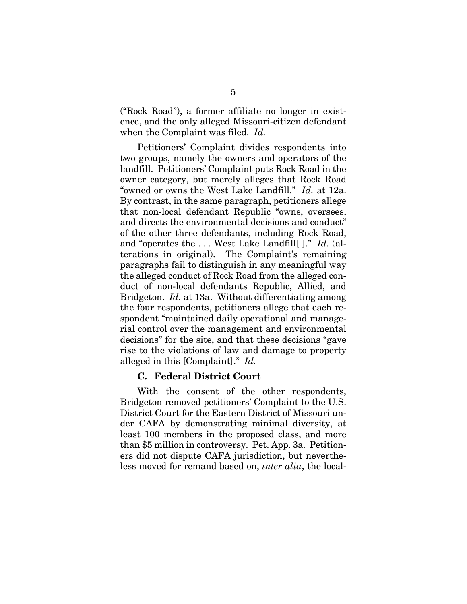("Rock Road"), a former affiliate no longer in existence, and the only alleged Missouri-citizen defendant when the Complaint was filed. *Id.*

Petitioners' Complaint divides respondents into two groups, namely the owners and operators of the landfill. Petitioners' Complaint puts Rock Road in the owner category, but merely alleges that Rock Road "owned or owns the West Lake Landfill." *Id.* at 12a. By contrast, in the same paragraph, petitioners allege that non-local defendant Republic "owns, oversees, and directs the environmental decisions and conduct" of the other three defendants, including Rock Road, and "operates the . . . West Lake Landfill[ ]." *Id.* (alterations in original). The Complaint's remaining paragraphs fail to distinguish in any meaningful way the alleged conduct of Rock Road from the alleged conduct of non-local defendants Republic, Allied, and Bridgeton. *Id.* at 13a. Without differentiating among the four respondents, petitioners allege that each respondent "maintained daily operational and managerial control over the management and environmental decisions" for the site, and that these decisions "gave rise to the violations of law and damage to property alleged in this [Complaint]." *Id.*

#### **C. Federal District Court**

With the consent of the other respondents, Bridgeton removed petitioners' Complaint to the U.S. District Court for the Eastern District of Missouri under CAFA by demonstrating minimal diversity, at least 100 members in the proposed class, and more than \$5 million in controversy. Pet. App. 3a. Petitioners did not dispute CAFA jurisdiction, but nevertheless moved for remand based on, *inter alia*, the local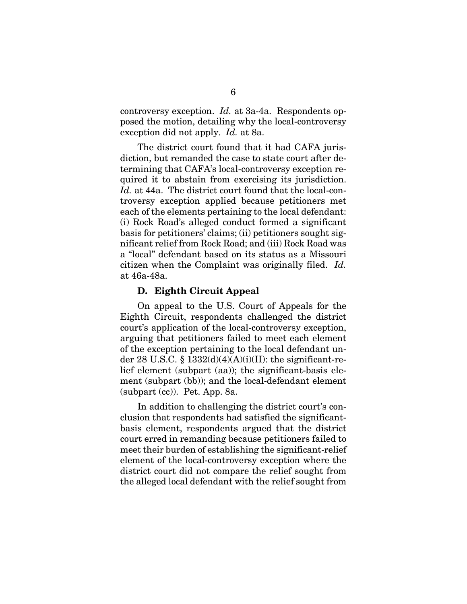controversy exception. *Id.* at 3a-4a. Respondents opposed the motion, detailing why the local-controversy exception did not apply. *Id.* at 8a.

The district court found that it had CAFA jurisdiction, but remanded the case to state court after determining that CAFA's local-controversy exception required it to abstain from exercising its jurisdiction. *Id.* at 44a. The district court found that the local-controversy exception applied because petitioners met each of the elements pertaining to the local defendant: (i) Rock Road's alleged conduct formed a significant basis for petitioners' claims; (ii) petitioners sought significant relief from Rock Road; and (iii) Rock Road was a "local" defendant based on its status as a Missouri citizen when the Complaint was originally filed. *Id.* at 46a-48a.

#### **D. Eighth Circuit Appeal**

On appeal to the U.S. Court of Appeals for the Eighth Circuit, respondents challenged the district court's application of the local-controversy exception, arguing that petitioners failed to meet each element of the exception pertaining to the local defendant under 28 U.S.C. § 1332 $(d)(4)(A)(i)(II)$ : the significant-relief element (subpart (aa)); the significant-basis element (subpart (bb)); and the local-defendant element (subpart (cc)). Pet. App. 8a.

In addition to challenging the district court's conclusion that respondents had satisfied the significantbasis element, respondents argued that the district court erred in remanding because petitioners failed to meet their burden of establishing the significant-relief element of the local-controversy exception where the district court did not compare the relief sought from the alleged local defendant with the relief sought from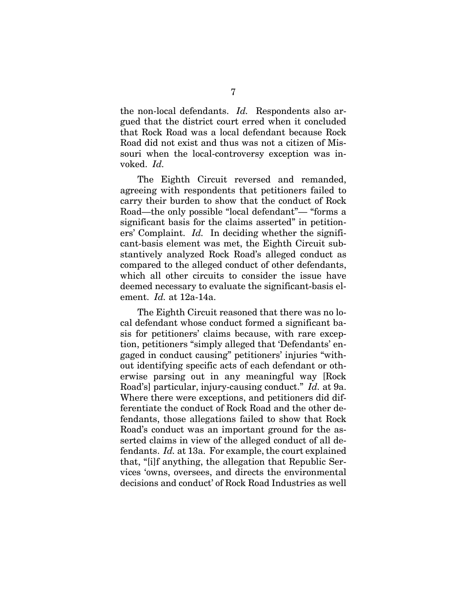the non-local defendants. *Id.* Respondents also argued that the district court erred when it concluded that Rock Road was a local defendant because Rock Road did not exist and thus was not a citizen of Missouri when the local-controversy exception was invoked. *Id.*

The Eighth Circuit reversed and remanded, agreeing with respondents that petitioners failed to carry their burden to show that the conduct of Rock Road—the only possible "local defendant"— "forms a significant basis for the claims asserted" in petitioners' Complaint. *Id.* In deciding whether the significant-basis element was met, the Eighth Circuit substantively analyzed Rock Road's alleged conduct as compared to the alleged conduct of other defendants, which all other circuits to consider the issue have deemed necessary to evaluate the significant-basis element. *Id.* at 12a-14a.

The Eighth Circuit reasoned that there was no local defendant whose conduct formed a significant basis for petitioners' claims because, with rare exception, petitioners "simply alleged that 'Defendants' engaged in conduct causing" petitioners' injuries "without identifying specific acts of each defendant or otherwise parsing out in any meaningful way [Rock Road's] particular, injury-causing conduct." *Id.* at 9a. Where there were exceptions, and petitioners did differentiate the conduct of Rock Road and the other defendants, those allegations failed to show that Rock Road's conduct was an important ground for the asserted claims in view of the alleged conduct of all defendants. *Id.* at 13a. For example, the court explained that, "[i]f anything, the allegation that Republic Services 'owns, oversees, and directs the environmental decisions and conduct' of Rock Road Industries as well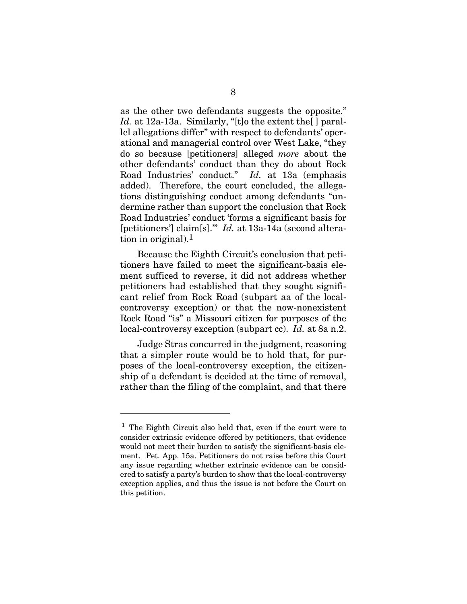as the other two defendants suggests the opposite." *Id.* at 12a-13a. Similarly, "[t]o the extent the[ ] parallel allegations differ" with respect to defendants' operational and managerial control over West Lake, "they do so because [petitioners] alleged *more* about the other defendants' conduct than they do about Rock Road Industries' conduct." *Id.* at 13a (emphasis added). Therefore, the court concluded, the allegations distinguishing conduct among defendants "undermine rather than support the conclusion that Rock Road Industries' conduct 'forms a significant basis for [petitioners'] claim[s].'" *Id.* at 13a-14a (second alteration in original).1

Because the Eighth Circuit's conclusion that petitioners have failed to meet the significant-basis element sufficed to reverse, it did not address whether petitioners had established that they sought significant relief from Rock Road (subpart aa of the localcontroversy exception) or that the now-nonexistent Rock Road "is" a Missouri citizen for purposes of the local-controversy exception (subpart cc). *Id.* at 8a n.2.

Judge Stras concurred in the judgment, reasoning that a simpler route would be to hold that, for purposes of the local-controversy exception, the citizenship of a defendant is decided at the time of removal, rather than the filing of the complaint, and that there

l

 $<sup>1</sup>$  The Eighth Circuit also held that, even if the court were to</sup> consider extrinsic evidence offered by petitioners, that evidence would not meet their burden to satisfy the significant-basis element. Pet. App. 15a. Petitioners do not raise before this Court any issue regarding whether extrinsic evidence can be considered to satisfy a party's burden to show that the local-controversy exception applies, and thus the issue is not before the Court on this petition.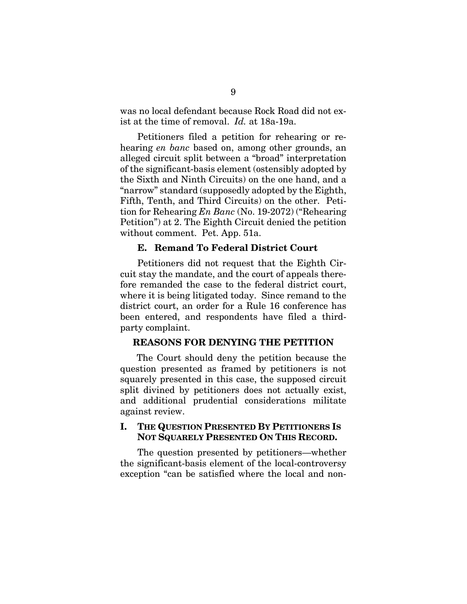was no local defendant because Rock Road did not exist at the time of removal. *Id.* at 18a-19a.

Petitioners filed a petition for rehearing or rehearing *en banc* based on, among other grounds, an alleged circuit split between a "broad" interpretation of the significant-basis element (ostensibly adopted by the Sixth and Ninth Circuits) on the one hand, and a "narrow" standard (supposedly adopted by the Eighth, Fifth, Tenth, and Third Circuits) on the other. Petition for Rehearing *En Banc* (No. 19-2072) ("Rehearing Petition") at 2. The Eighth Circuit denied the petition without comment. Pet. App. 51a.

#### **E. Remand To Federal District Court**

Petitioners did not request that the Eighth Circuit stay the mandate, and the court of appeals therefore remanded the case to the federal district court, where it is being litigated today. Since remand to the district court, an order for a Rule 16 conference has been entered, and respondents have filed a thirdparty complaint.

#### **REASONS FOR DENYING THE PETITION**

The Court should deny the petition because the question presented as framed by petitioners is not squarely presented in this case, the supposed circuit split divined by petitioners does not actually exist, and additional prudential considerations militate against review.

#### **I. THE QUESTION PRESENTED BY PETITIONERS IS NOT SQUARELY PRESENTED ON THIS RECORD.**

The question presented by petitioners—whether the significant-basis element of the local-controversy exception "can be satisfied where the local and non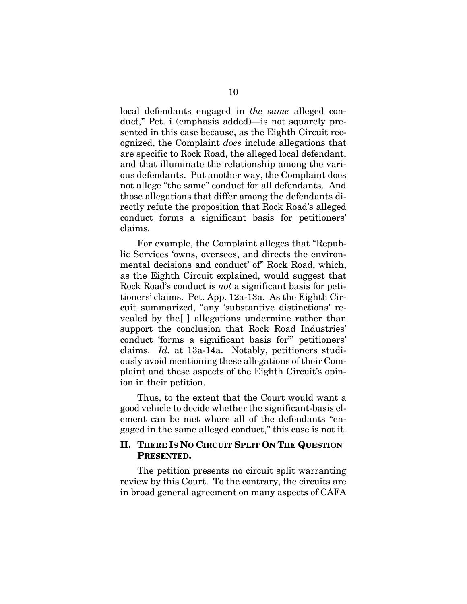local defendants engaged in *the same* alleged conduct," Pet. i (emphasis added)—is not squarely presented in this case because, as the Eighth Circuit recognized, the Complaint *does* include allegations that are specific to Rock Road, the alleged local defendant, and that illuminate the relationship among the various defendants. Put another way, the Complaint does not allege "the same" conduct for all defendants. And those allegations that differ among the defendants directly refute the proposition that Rock Road's alleged conduct forms a significant basis for petitioners' claims.

For example, the Complaint alleges that "Republic Services 'owns, oversees, and directs the environmental decisions and conduct' of" Rock Road, which, as the Eighth Circuit explained, would suggest that Rock Road's conduct is *not* a significant basis for petitioners' claims. Pet. App. 12a-13a. As the Eighth Circuit summarized, "any 'substantive distinctions' revealed by the[ ] allegations undermine rather than support the conclusion that Rock Road Industries' conduct 'forms a significant basis for'" petitioners' claims. *Id.* at 13a-14a. Notably, petitioners studiously avoid mentioning these allegations of their Complaint and these aspects of the Eighth Circuit's opinion in their petition.

Thus, to the extent that the Court would want a good vehicle to decide whether the significant-basis element can be met where all of the defendants "engaged in the same alleged conduct," this case is not it.

#### **II. THERE IS NO CIRCUIT SPLIT ON THE QUESTION PRESENTED.**

The petition presents no circuit split warranting review by this Court. To the contrary, the circuits are in broad general agreement on many aspects of CAFA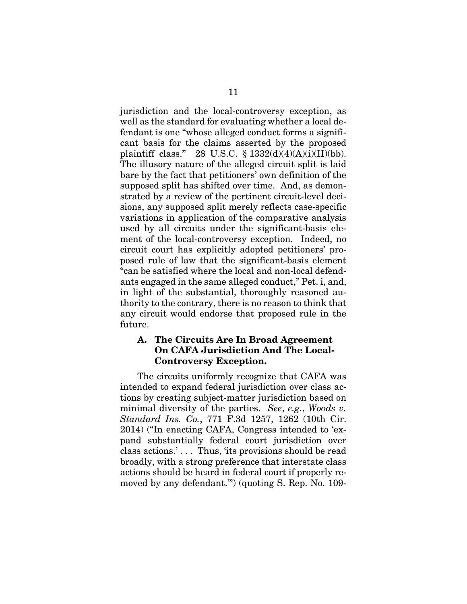jurisdiction and the local-controversy exception, as well as the standard for evaluating whether a local defendant is one "whose alleged conduct forms a significant basis for the claims asserted by the proposed plaintiff class." 28 U.S.C.  $\S$  1332(d)(4)(A)(i)(II)(bb). The illusory nature of the alleged circuit split is laid bare by the fact that petitioners' own definition of the supposed split has shifted over time. And, as demonstrated by a review of the pertinent circuit-level decisions, any supposed split merely reflects case-specific variations in application of the comparative analysis used by all circuits under the significant-basis element of the local-controversy exception. Indeed, no circuit court has explicitly adopted petitioners' proposed rule of law that the significant-basis element "can be satisfied where the local and non-local defendants engaged in the same alleged conduct," Pet. i, and, in light of the substantial, thoroughly reasoned authority to the contrary, there is no reason to think that any circuit would endorse that proposed rule in the future.

## **A. The Circuits Are In Broad Agreement On CAFA Jurisdiction And The Local-Controversy Exception.**

The circuits uniformly recognize that CAFA was intended to expand federal jurisdiction over class actions by creating subject-matter jurisdiction based on minimal diversity of the parties. *See*, *e.g.*, *Woods v. Standard Ins. Co.*, 771 F.3d 1257, 1262 (10th Cir. 2014) ("In enacting CAFA, Congress intended to 'expand substantially federal court jurisdiction over class actions.' . . . Thus, 'its provisions should be read broadly, with a strong preference that interstate class actions should be heard in federal court if properly removed by any defendant.'") (quoting S. Rep. No. 109-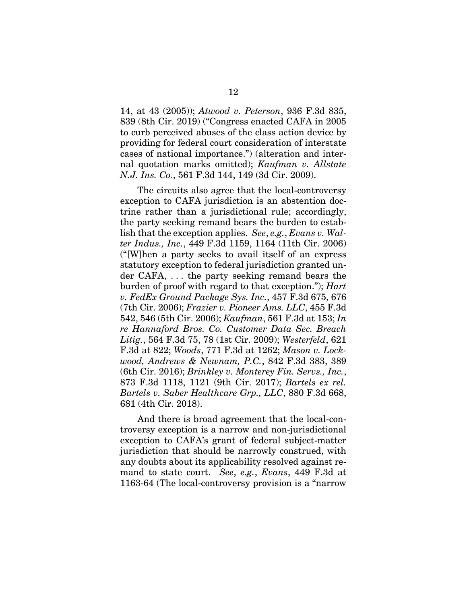14, at 43 (2005)); *Atwood v. Peterson*, 936 F.3d 835, 839 (8th Cir. 2019) ("Congress enacted CAFA in 2005 to curb perceived abuses of the class action device by providing for federal court consideration of interstate cases of national importance.") (alteration and internal quotation marks omitted); *Kaufman v. Allstate N.J. Ins. Co.*, 561 F.3d 144, 149 (3d Cir. 2009).

The circuits also agree that the local-controversy exception to CAFA jurisdiction is an abstention doctrine rather than a jurisdictional rule; accordingly, the party seeking remand bears the burden to establish that the exception applies. *See*, *e.g.*, *Evans v. Walter Indus., Inc.*, 449 F.3d 1159, 1164 (11th Cir. 2006) ("[W]hen a party seeks to avail itself of an express statutory exception to federal jurisdiction granted under CAFA, . . . the party seeking remand bears the burden of proof with regard to that exception."); *Hart v. FedEx Ground Package Sys. Inc.*, 457 F.3d 675, 676 (7th Cir. 2006); *Frazier v. Pioneer Ams. LLC*, 455 F.3d 542, 546 (5th Cir. 2006); *Kaufman*, 561 F.3d at 153; *In re Hannaford Bros. Co. Customer Data Sec. Breach Litig.*, 564 F.3d 75, 78 (1st Cir. 2009); *Westerfeld*, 621 F.3d at 822; *Woods*, 771 F.3d at 1262; *Mason v. Lockwood, Andrews & Newnam, P.C.*, 842 F.3d 383, 389 (6th Cir. 2016); *Brinkley v. Monterey Fin. Servs., Inc.*, 873 F.3d 1118, 1121 (9th Cir. 2017); *Bartels ex rel. Bartels v. Saber Healthcare Grp., LLC*, 880 F.3d 668, 681 (4th Cir. 2018).

And there is broad agreement that the local-controversy exception is a narrow and non-jurisdictional exception to CAFA's grant of federal subject-matter jurisdiction that should be narrowly construed, with any doubts about its applicability resolved against remand to state court. *See*, *e.g.*, *Evans*, 449 F.3d at 1163-64 (The local-controversy provision is a "narrow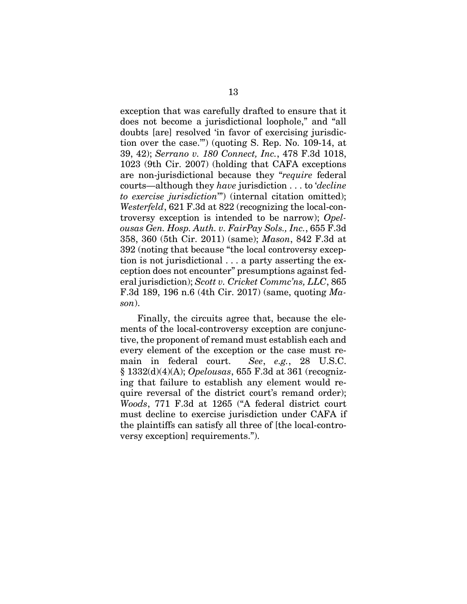exception that was carefully drafted to ensure that it does not become a jurisdictional loophole," and "all doubts [are] resolved 'in favor of exercising jurisdiction over the case.'") (quoting S. Rep. No. 109-14, at 39, 42); *Serrano v. 180 Connect, Inc.*, 478 F.3d 1018, 1023 (9th Cir. 2007) (holding that CAFA exceptions are non-jurisdictional because they "*require* federal courts—although they *have* jurisdiction . . . to '*decline to exercise jurisdiction*'") (internal citation omitted); *Westerfeld*, 621 F.3d at 822 (recognizing the local-controversy exception is intended to be narrow); *Opelousas Gen. Hosp. Auth. v. FairPay Sols., Inc.*, 655 F.3d 358, 360 (5th Cir. 2011) (same); *Mason*, 842 F.3d at 392 (noting that because "the local controversy exception is not jurisdictional . . . a party asserting the exception does not encounter" presumptions against federal jurisdiction); *Scott v. Cricket Commc'ns, LLC*, 865 F.3d 189, 196 n.6 (4th Cir. 2017) (same, quoting *Mason*).

Finally, the circuits agree that, because the elements of the local-controversy exception are conjunctive, the proponent of remand must establish each and every element of the exception or the case must remain in federal court. *See*, *e.g.*, 28 U.S.C. § 1332(d)(4)(A); *Opelousas*, 655 F.3d at 361 (recognizing that failure to establish any element would require reversal of the district court's remand order); *Woods*, 771 F.3d at 1265 ("A federal district court must decline to exercise jurisdiction under CAFA if the plaintiffs can satisfy all three of [the local-controversy exception] requirements.").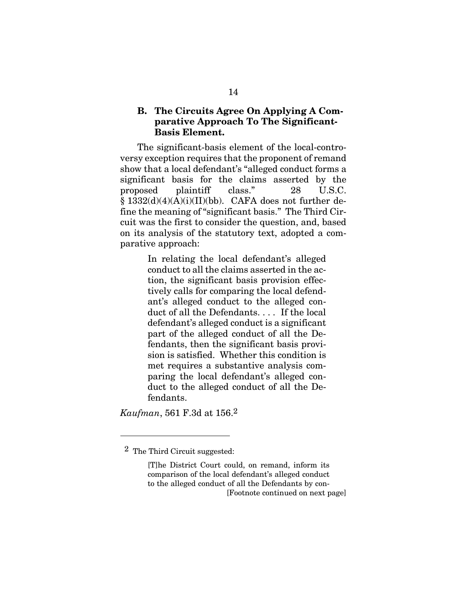## **B. The Circuits Agree On Applying A Comparative Approach To The Significant-Basis Element.**

The significant-basis element of the local-controversy exception requires that the proponent of remand show that a local defendant's "alleged conduct forms a significant basis for the claims asserted by the proposed plaintiff class." 28 U.S.C. § 1332(d)(4)(A)(i)(II)(bb). CAFA does not further define the meaning of "significant basis." The Third Circuit was the first to consider the question, and, based on its analysis of the statutory text, adopted a comparative approach:

> In relating the local defendant's alleged conduct to all the claims asserted in the action, the significant basis provision effectively calls for comparing the local defendant's alleged conduct to the alleged conduct of all the Defendants. . . . If the local defendant's alleged conduct is a significant part of the alleged conduct of all the Defendants, then the significant basis provision is satisfied. Whether this condition is met requires a substantive analysis comparing the local defendant's alleged conduct to the alleged conduct of all the Defendants.

*Kaufman*, 561 F.3d at 156.2

 $\overline{a}$ 

 <sup>2</sup> The Third Circuit suggested:

<sup>[</sup>T]he District Court could, on remand, inform its comparison of the local defendant's alleged conduct to the alleged conduct of all the Defendants by con- [Footnote continued on next page]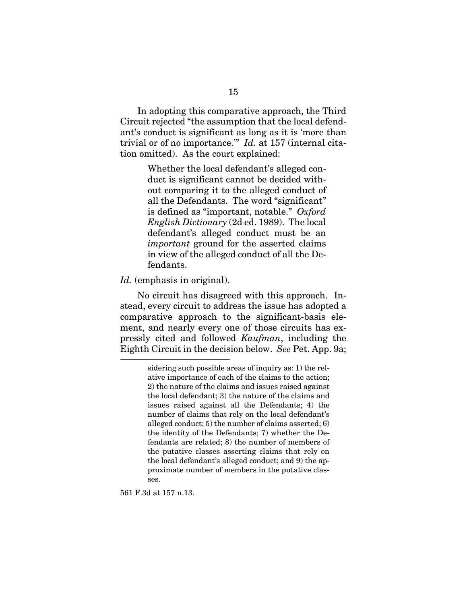In adopting this comparative approach, the Third Circuit rejected "the assumption that the local defendant's conduct is significant as long as it is 'more than trivial or of no importance.'" *Id.* at 157 (internal citation omitted). As the court explained:

> Whether the local defendant's alleged conduct is significant cannot be decided without comparing it to the alleged conduct of all the Defendants. The word "significant" is defined as "important, notable." *Oxford English Dictionary* (2d ed. 1989). The local defendant's alleged conduct must be an *important* ground for the asserted claims in view of the alleged conduct of all the Defendants.

#### *Id.* (emphasis in original).

No circuit has disagreed with this approach. Instead, every circuit to address the issue has adopted a comparative approach to the significant-basis element, and nearly every one of those circuits has expressly cited and followed *Kaufman*, including the Eighth Circuit in the decision below. *See* Pet. App. 9a;

561 F.3d at 157 n.13.

sidering such possible areas of inquiry as: 1) the relative importance of each of the claims to the action; 2) the nature of the claims and issues raised against the local defendant; 3) the nature of the claims and issues raised against all the Defendants; 4) the number of claims that rely on the local defendant's alleged conduct; 5) the number of claims asserted; 6) the identity of the Defendants; 7) whether the Defendants are related; 8) the number of members of the putative classes asserting claims that rely on the local defendant's alleged conduct; and 9) the approximate number of members in the putative classes.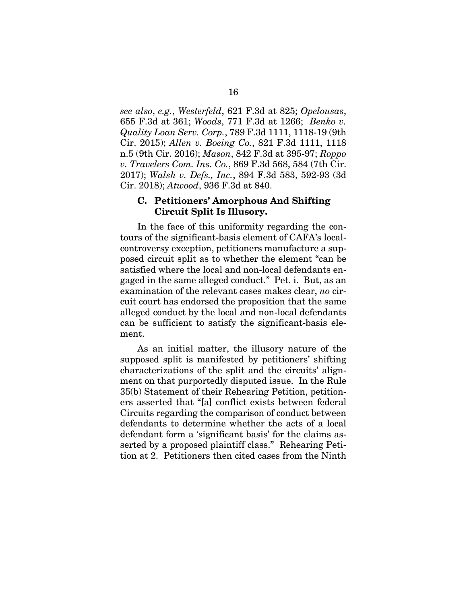*see also*, *e.g.*, *Westerfeld*, 621 F.3d at 825; *Opelousas*, 655 F.3d at 361; *Woods*, 771 F.3d at 1266; *Benko v. Quality Loan Serv. Corp.*, 789 F.3d 1111, 1118-19 (9th Cir. 2015); *Allen v. Boeing Co.*, 821 F.3d 1111, 1118 n.5 (9th Cir. 2016); *Mason*, 842 F.3d at 395-97; *Roppo v. Travelers Com. Ins. Co.*, 869 F.3d 568, 584 (7th Cir. 2017); *Walsh v. Defs., Inc.*, 894 F.3d 583, 592-93 (3d Cir. 2018); *Atwood*, 936 F.3d at 840.

#### **C. Petitioners' Amorphous And Shifting Circuit Split Is Illusory.**

In the face of this uniformity regarding the contours of the significant-basis element of CAFA's localcontroversy exception, petitioners manufacture a supposed circuit split as to whether the element "can be satisfied where the local and non-local defendants engaged in the same alleged conduct." Pet. i. But, as an examination of the relevant cases makes clear, *no* circuit court has endorsed the proposition that the same alleged conduct by the local and non-local defendants can be sufficient to satisfy the significant-basis element.

As an initial matter, the illusory nature of the supposed split is manifested by petitioners' shifting characterizations of the split and the circuits' alignment on that purportedly disputed issue. In the Rule 35(b) Statement of their Rehearing Petition, petitioners asserted that "[a] conflict exists between federal Circuits regarding the comparison of conduct between defendants to determine whether the acts of a local defendant form a 'significant basis' for the claims asserted by a proposed plaintiff class." Rehearing Petition at 2. Petitioners then cited cases from the Ninth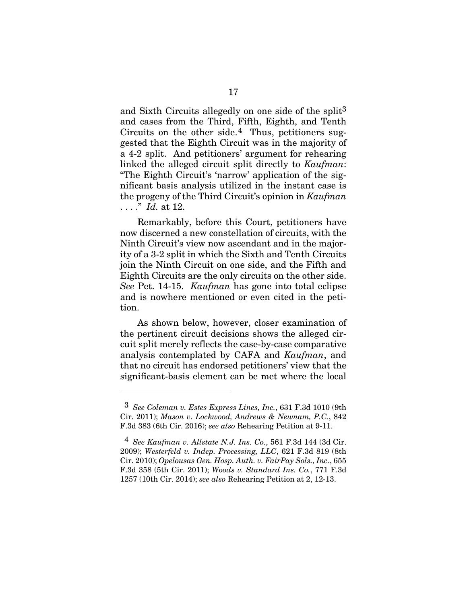and Sixth Circuits allegedly on one side of the split3 and cases from the Third, Fifth, Eighth, and Tenth Circuits on the other side.<sup>4</sup> Thus, petitioners suggested that the Eighth Circuit was in the majority of a 4-2 split. And petitioners' argument for rehearing linked the alleged circuit split directly to *Kaufman*: "The Eighth Circuit's 'narrow' application of the significant basis analysis utilized in the instant case is the progeny of the Third Circuit's opinion in *Kaufman* . . . ." *Id.* at 12.

Remarkably, before this Court, petitioners have now discerned a new constellation of circuits, with the Ninth Circuit's view now ascendant and in the majority of a 3-2 split in which the Sixth and Tenth Circuits join the Ninth Circuit on one side, and the Fifth and Eighth Circuits are the only circuits on the other side. *See* Pet. 14-15. *Kaufman* has gone into total eclipse and is nowhere mentioned or even cited in the petition.

As shown below, however, closer examination of the pertinent circuit decisions shows the alleged circuit split merely reflects the case-by-case comparative analysis contemplated by CAFA and *Kaufman*, and that no circuit has endorsed petitioners' view that the significant-basis element can be met where the local

 $\overline{a}$ 

 <sup>3</sup> *See Coleman v. Estes Express Lines, Inc.*, 631 F.3d 1010 (9th Cir. 2011); *Mason v. Lockwood, Andrews & Newnam, P.C.*, 842 F.3d 383 (6th Cir. 2016); *see also* Rehearing Petition at 9-11.

 <sup>4</sup> *See Kaufman v. Allstate N.J. Ins. Co.*, 561 F.3d 144 (3d Cir. 2009); *Westerfeld v. Indep. Processing, LLC*, 621 F.3d 819 (8th Cir. 2010); *Opelousas Gen. Hosp. Auth. v. FairPay Sols., Inc.*, 655 F.3d 358 (5th Cir. 2011); *Woods v. Standard Ins. Co.*, 771 F.3d 1257 (10th Cir. 2014); *see also* Rehearing Petition at 2, 12-13.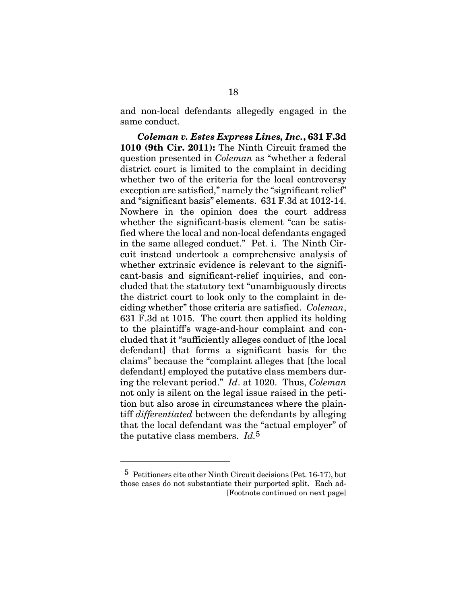and non-local defendants allegedly engaged in the same conduct.

*Coleman v. Estes Express Lines, Inc.***, 631 F.3d 1010 (9th Cir. 2011):** The Ninth Circuit framed the question presented in *Coleman* as "whether a federal district court is limited to the complaint in deciding whether two of the criteria for the local controversy exception are satisfied," namely the "significant relief" and "significant basis" elements. 631 F.3d at 1012-14. Nowhere in the opinion does the court address whether the significant-basis element "can be satisfied where the local and non-local defendants engaged in the same alleged conduct." Pet. i. The Ninth Circuit instead undertook a comprehensive analysis of whether extrinsic evidence is relevant to the significant-basis and significant-relief inquiries, and concluded that the statutory text "unambiguously directs the district court to look only to the complaint in deciding whether" those criteria are satisfied. *Coleman*, 631 F.3d at 1015. The court then applied its holding to the plaintiff's wage-and-hour complaint and concluded that it "sufficiently alleges conduct of [the local defendant] that forms a significant basis for the claims" because the "complaint alleges that [the local defendant] employed the putative class members during the relevant period." *Id*. at 1020. Thus, *Coleman*  not only is silent on the legal issue raised in the petition but also arose in circumstances where the plaintiff *differentiated* between the defendants by alleging that the local defendant was the "actual employer" of the putative class members. *Id.*5

 $\overline{a}$ 

 <sup>5</sup> Petitioners cite other Ninth Circuit decisions (Pet. 16-17), but those cases do not substantiate their purported split. Each ad- [Footnote continued on next page]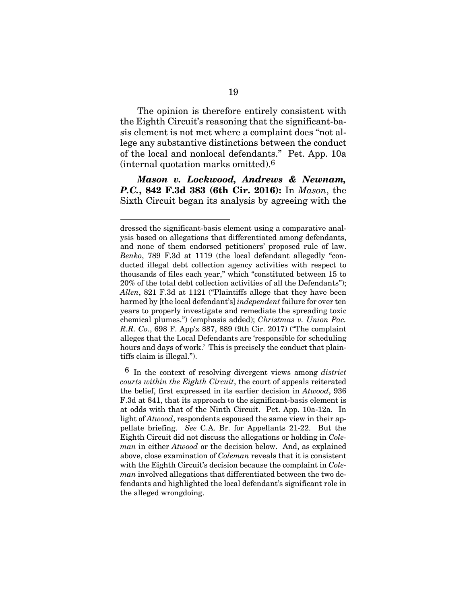The opinion is therefore entirely consistent with the Eighth Circuit's reasoning that the significant-basis element is not met where a complaint does "not allege any substantive distinctions between the conduct of the local and nonlocal defendants." Pet. App. 10a (internal quotation marks omitted).6

*Mason v. Lockwood, Andrews & Newnam, P.C.***, 842 F.3d 383 (6th Cir. 2016):** In *Mason*, the Sixth Circuit began its analysis by agreeing with the

l

dressed the significant-basis element using a comparative analysis based on allegations that differentiated among defendants, and none of them endorsed petitioners' proposed rule of law. *Benko*, 789 F.3d at 1119 (the local defendant allegedly "conducted illegal debt collection agency activities with respect to thousands of files each year," which "constituted between 15 to 20% of the total debt collection activities of all the Defendants"); *Allen*, 821 F.3d at 1121 ("Plaintiffs allege that they have been harmed by [the local defendant's] *independent* failure for over ten years to properly investigate and remediate the spreading toxic chemical plumes.") (emphasis added); *Christmas v. Union Pac. R.R. Co.*, 698 F. App'x 887, 889 (9th Cir. 2017) ("The complaint alleges that the Local Defendants are 'responsible for scheduling hours and days of work.' This is precisely the conduct that plaintiffs claim is illegal.").

 <sup>6</sup> In the context of resolving divergent views among *district courts within the Eighth Circuit*, the court of appeals reiterated the belief, first expressed in its earlier decision in *Atwood*, 936 F.3d at 841, that its approach to the significant-basis element is at odds with that of the Ninth Circuit. Pet. App. 10a-12a. In light of *Atwood*, respondents espoused the same view in their appellate briefing. *See* C.A. Br. for Appellants 21-22. But the Eighth Circuit did not discuss the allegations or holding in *Coleman* in either *Atwood* or the decision below. And, as explained above, close examination of *Coleman* reveals that it is consistent with the Eighth Circuit's decision because the complaint in *Coleman* involved allegations that differentiated between the two defendants and highlighted the local defendant's significant role in the alleged wrongdoing.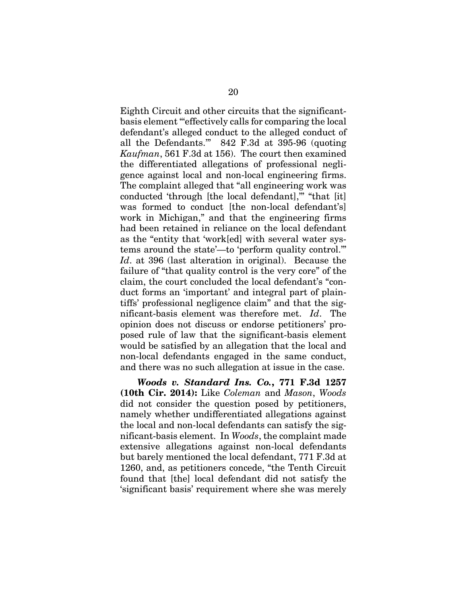Eighth Circuit and other circuits that the significantbasis element "'effectively calls for comparing the local defendant's alleged conduct to the alleged conduct of all the Defendants.'" 842 F.3d at 395-96 (quoting *Kaufman*, 561 F.3d at 156). The court then examined the differentiated allegations of professional negligence against local and non-local engineering firms. The complaint alleged that "all engineering work was conducted 'through [the local defendant],'" "that [it] was formed to conduct [the non-local defendant's] work in Michigan," and that the engineering firms had been retained in reliance on the local defendant as the "entity that 'work[ed] with several water systems around the state'—to 'perform quality control.'" *Id*. at 396 (last alteration in original). Because the failure of "that quality control is the very core" of the claim, the court concluded the local defendant's "conduct forms an 'important' and integral part of plaintiffs' professional negligence claim" and that the significant-basis element was therefore met. *Id*. The opinion does not discuss or endorse petitioners' proposed rule of law that the significant-basis element would be satisfied by an allegation that the local and non-local defendants engaged in the same conduct, and there was no such allegation at issue in the case.

*Woods v. Standard Ins. Co.***, 771 F.3d 1257 (10th Cir. 2014):** Like *Coleman* and *Mason*, *Woods* did not consider the question posed by petitioners, namely whether undifferentiated allegations against the local and non-local defendants can satisfy the significant-basis element. In *Woods*, the complaint made extensive allegations against non-local defendants but barely mentioned the local defendant, 771 F.3d at 1260, and, as petitioners concede, "the Tenth Circuit found that [the] local defendant did not satisfy the 'significant basis' requirement where she was merely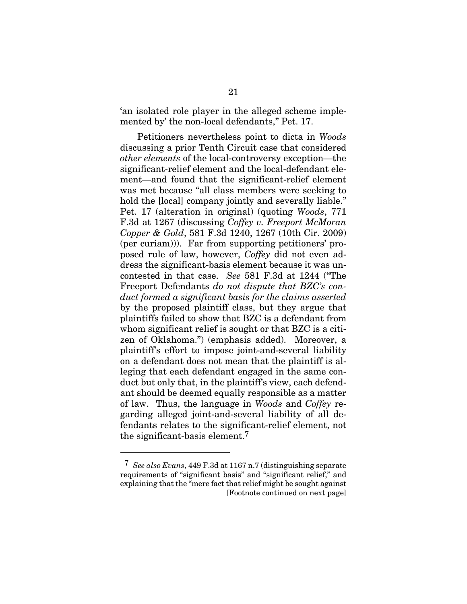'an isolated role player in the alleged scheme implemented by' the non-local defendants," Pet. 17.

Petitioners nevertheless point to dicta in *Woods*  discussing a prior Tenth Circuit case that considered *other elements* of the local-controversy exception—the significant-relief element and the local-defendant element—and found that the significant-relief element was met because "all class members were seeking to hold the [local] company jointly and severally liable." Pet. 17 (alteration in original) (quoting *Woods*, 771 F.3d at 1267 (discussing *Coffey v. Freeport McMoran Copper & Gold*, 581 F.3d 1240, 1267 (10th Cir. 2009) (per curiam))). Far from supporting petitioners' proposed rule of law, however, *Coffey* did not even address the significant-basis element because it was uncontested in that case. *See* 581 F.3d at 1244 ("The Freeport Defendants *do not dispute that BZC's conduct formed a significant basis for the claims asserted* by the proposed plaintiff class, but they argue that plaintiffs failed to show that BZC is a defendant from whom significant relief is sought or that BZC is a citizen of Oklahoma.") (emphasis added). Moreover, a plaintiff's effort to impose joint-and-several liability on a defendant does not mean that the plaintiff is alleging that each defendant engaged in the same conduct but only that, in the plaintiff's view, each defendant should be deemed equally responsible as a matter of law. Thus, the language in *Woods* and *Coffey* regarding alleged joint-and-several liability of all defendants relates to the significant-relief element, not the significant-basis element.7

 $\overline{a}$ 

 <sup>7</sup> *See also Evans*, 449 F.3d at 1167 n.7 (distinguishing separate requirements of "significant basis" and "significant relief," and explaining that the "mere fact that relief might be sought against [Footnote continued on next page]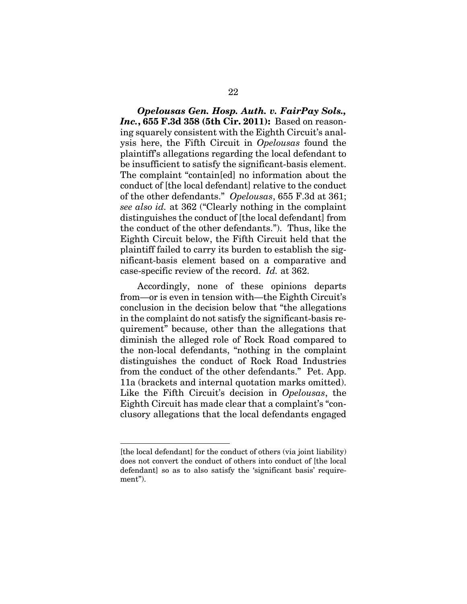*Opelousas Gen. Hosp. Auth. v. FairPay Sols., Inc.***, 655 F.3d 358 (5th Cir. 2011):** Based on reasoning squarely consistent with the Eighth Circuit's analysis here, the Fifth Circuit in *Opelousas* found the plaintiff's allegations regarding the local defendant to be insufficient to satisfy the significant-basis element. The complaint "contain[ed] no information about the conduct of [the local defendant] relative to the conduct of the other defendants." *Opelousas*, 655 F.3d at 361; *see also id.* at 362 ("Clearly nothing in the complaint distinguishes the conduct of [the local defendant] from the conduct of the other defendants."). Thus, like the Eighth Circuit below, the Fifth Circuit held that the plaintiff failed to carry its burden to establish the significant-basis element based on a comparative and case-specific review of the record. *Id.* at 362.

Accordingly, none of these opinions departs from—or is even in tension with—the Eighth Circuit's conclusion in the decision below that "the allegations in the complaint do not satisfy the significant-basis requirement" because, other than the allegations that diminish the alleged role of Rock Road compared to the non-local defendants, "nothing in the complaint distinguishes the conduct of Rock Road Industries from the conduct of the other defendants." Pet. App. 11a (brackets and internal quotation marks omitted). Like the Fifth Circuit's decision in *Opelousas*, the Eighth Circuit has made clear that a complaint's "conclusory allegations that the local defendants engaged

 $\overline{a}$ 

<sup>[</sup>the local defendant] for the conduct of others (via joint liability) does not convert the conduct of others into conduct of [the local defendant] so as to also satisfy the 'significant basis' requirement").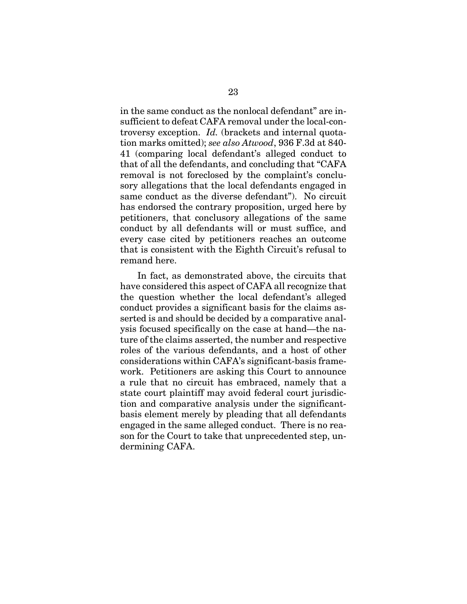in the same conduct as the nonlocal defendant" are insufficient to defeat CAFA removal under the local-controversy exception. *Id.* (brackets and internal quotation marks omitted); *see also Atwood*, 936 F.3d at 840- 41 (comparing local defendant's alleged conduct to that of all the defendants, and concluding that "CAFA removal is not foreclosed by the complaint's conclusory allegations that the local defendants engaged in same conduct as the diverse defendant"). No circuit has endorsed the contrary proposition, urged here by petitioners, that conclusory allegations of the same conduct by all defendants will or must suffice, and every case cited by petitioners reaches an outcome that is consistent with the Eighth Circuit's refusal to remand here.

In fact, as demonstrated above, the circuits that have considered this aspect of CAFA all recognize that the question whether the local defendant's alleged conduct provides a significant basis for the claims asserted is and should be decided by a comparative analysis focused specifically on the case at hand—the nature of the claims asserted, the number and respective roles of the various defendants, and a host of other considerations within CAFA's significant-basis framework. Petitioners are asking this Court to announce a rule that no circuit has embraced, namely that a state court plaintiff may avoid federal court jurisdiction and comparative analysis under the significantbasis element merely by pleading that all defendants engaged in the same alleged conduct. There is no reason for the Court to take that unprecedented step, undermining CAFA.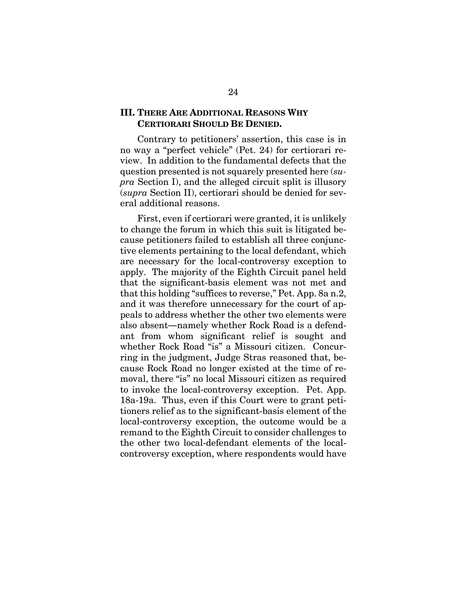## **III. THERE ARE ADDITIONAL REASONS WHY CERTIORARI SHOULD BE DENIED.**

Contrary to petitioners' assertion, this case is in no way a "perfect vehicle" (Pet. 24) for certiorari review. In addition to the fundamental defects that the question presented is not squarely presented here (*supra* Section I), and the alleged circuit split is illusory (*supra* Section II), certiorari should be denied for several additional reasons.

First, even if certiorari were granted, it is unlikely to change the forum in which this suit is litigated because petitioners failed to establish all three conjunctive elements pertaining to the local defendant, which are necessary for the local-controversy exception to apply. The majority of the Eighth Circuit panel held that the significant-basis element was not met and that this holding "suffices to reverse," Pet. App. 8a n.2, and it was therefore unnecessary for the court of appeals to address whether the other two elements were also absent**―**namely whether Rock Road is a defendant from whom significant relief is sought and whether Rock Road "is" a Missouri citizen. Concurring in the judgment, Judge Stras reasoned that, because Rock Road no longer existed at the time of removal, there "is" no local Missouri citizen as required to invoke the local-controversy exception. Pet. App. 18a-19a. Thus, even if this Court were to grant petitioners relief as to the significant-basis element of the local-controversy exception, the outcome would be a remand to the Eighth Circuit to consider challenges to the other two local-defendant elements of the localcontroversy exception, where respondents would have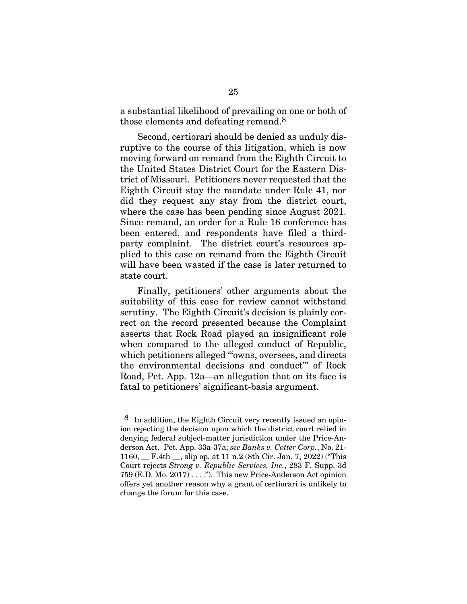a substantial likelihood of prevailing on one or both of those elements and defeating remand.8

Second, certiorari should be denied as unduly disruptive to the course of this litigation, which is now moving forward on remand from the Eighth Circuit to the United States District Court for the Eastern District of Missouri. Petitioners never requested that the Eighth Circuit stay the mandate under Rule 41, nor did they request any stay from the district court, where the case has been pending since August 2021. Since remand, an order for a Rule 16 conference has been entered, and respondents have filed a thirdparty complaint. The district court's resources applied to this case on remand from the Eighth Circuit will have been wasted if the case is later returned to state court.

Finally, petitioners' other arguments about the suitability of this case for review cannot withstand scrutiny. The Eighth Circuit's decision is plainly correct on the record presented because the Complaint asserts that Rock Road played an insignificant role when compared to the alleged conduct of Republic, which petitioners alleged ""owns, oversees, and directs" the environmental decisions and conduct'" of Rock Road, Pet. App. 12a—an allegation that on its face is fatal to petitioners' significant-basis argument.

 $\overline{a}$ 

<sup>8</sup> In addition, the Eighth Circuit very recently issued an opinion rejecting the decision upon which the district court relied in denying federal subject-matter jurisdiction under the Price-Anderson Act. Pet. App. 33a-37a; *see Banks v. Cotter Corp.*, No. 21- 1160, \_\_ F.4th \_\_, slip op. at 11 n.2 (8th Cir. Jan. 7, 2022) ("This Court rejects *Strong v. Republic Services, Inc.*, 283 F. Supp. 3d 759 (E.D. Mo. 2017) . . . ."). This new Price-Anderson Act opinion offers yet another reason why a grant of certiorari is unlikely to change the forum for this case.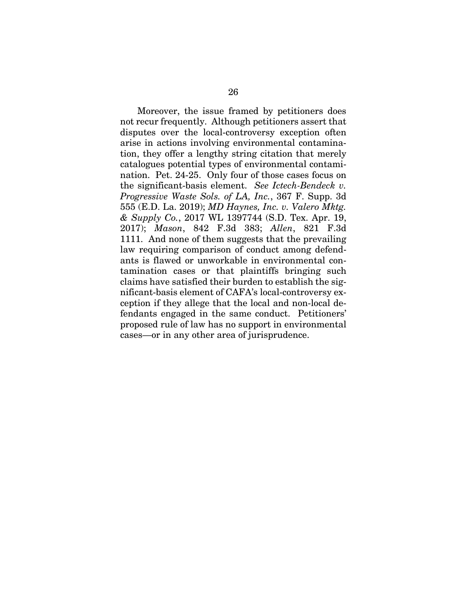Moreover, the issue framed by petitioners does not recur frequently. Although petitioners assert that disputes over the local-controversy exception often arise in actions involving environmental contamination, they offer a lengthy string citation that merely catalogues potential types of environmental contamination. Pet. 24-25. Only four of those cases focus on the significant-basis element. *See Ictech-Bendeck v. Progressive Waste Sols. of LA, Inc.*, 367 F. Supp. 3d 555 (E.D. La. 2019); *MD Haynes, Inc. v. Valero Mktg. & Supply Co.*, 2017 WL 1397744 (S.D. Tex. Apr. 19, 2017); *Mason*, 842 F.3d 383; *Allen*, 821 F.3d 1111. And none of them suggests that the prevailing law requiring comparison of conduct among defendants is flawed or unworkable in environmental contamination cases or that plaintiffs bringing such claims have satisfied their burden to establish the significant-basis element of CAFA's local-controversy exception if they allege that the local and non-local defendants engaged in the same conduct. Petitioners' proposed rule of law has no support in environmental cases—or in any other area of jurisprudence.